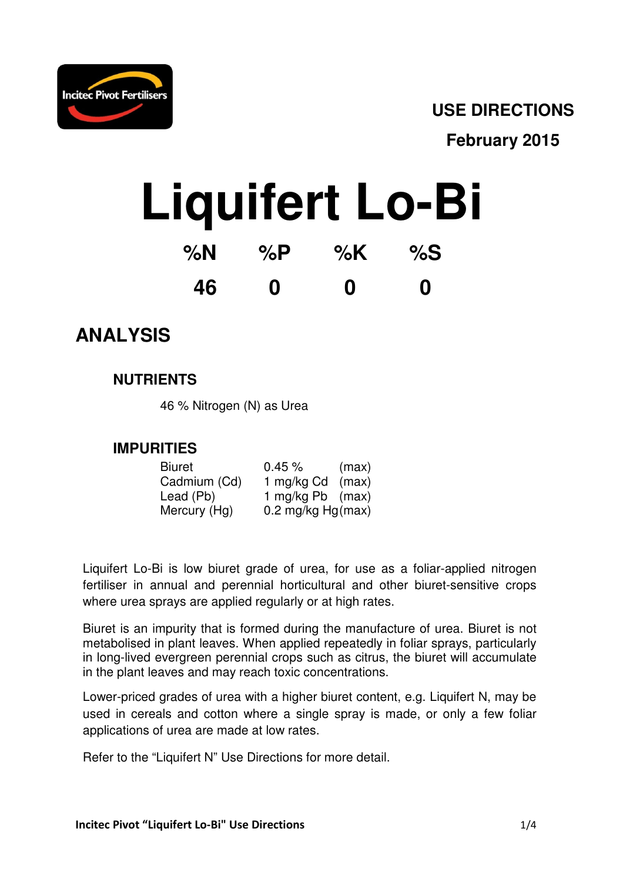

### **USE DIRECTIONS**

**February 2015** 

# **Liquifert Lo-Bi**

| %N | % $P$ | % $K$    | %S |
|----|-------|----------|----|
| 46 | 0     | $\bf{0}$ | 0  |

## **ANALYSIS**

#### **NUTRIENTS**

46 % Nitrogen (N) as Urea

#### **IMPURITIES**

| <b>Biuret</b> | $0.45 \%$           | (max) |
|---------------|---------------------|-------|
| Cadmium (Cd)  | 1 mg/kg Cd          | (max) |
| Lead (Pb)     | 1 mg/kg Pb (max)    |       |
| Mercury (Hg)  | 0.2 mg/kg $Hg(max)$ |       |

Liquifert Lo-Bi is low biuret grade of urea, for use as a foliar-applied nitrogen fertiliser in annual and perennial horticultural and other biuret-sensitive crops where urea sprays are applied regularly or at high rates.

Biuret is an impurity that is formed during the manufacture of urea. Biuret is not metabolised in plant leaves. When applied repeatedly in foliar sprays, particularly in long-lived evergreen perennial crops such as citrus, the biuret will accumulate in the plant leaves and may reach toxic concentrations.

Lower-priced grades of urea with a higher biuret content, e.g. Liquifert N, may be used in cereals and cotton where a single spray is made, or only a few foliar applications of urea are made at low rates.

Refer to the "Liquifert N" Use Directions for more detail.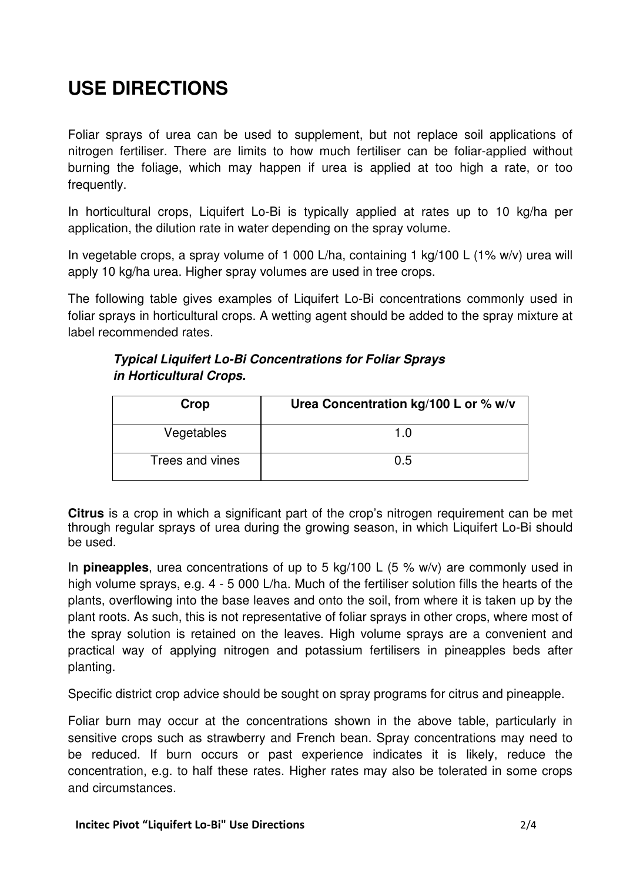## **USE DIRECTIONS**

Foliar sprays of urea can be used to supplement, but not replace soil applications of nitrogen fertiliser. There are limits to how much fertiliser can be foliar-applied without burning the foliage, which may happen if urea is applied at too high a rate, or too frequently.

In horticultural crops, Liquifert Lo-Bi is typically applied at rates up to 10 kg/ha per application, the dilution rate in water depending on the spray volume.

In vegetable crops, a spray volume of 1 000 L/ha, containing 1 kg/100 L (1% w/v) urea will apply 10 kg/ha urea. Higher spray volumes are used in tree crops.

The following table gives examples of Liquifert Lo-Bi concentrations commonly used in foliar sprays in horticultural crops. A wetting agent should be added to the spray mixture at label recommended rates.

#### **Typical Liquifert Lo-Bi Concentrations for Foliar Sprays in Horticultural Crops.**

| Crop            | Urea Concentration kg/100 L or % w/v |
|-----------------|--------------------------------------|
| Vegetables      | 1 በ                                  |
| Trees and vines | 0.5                                  |

**Citrus** is a crop in which a significant part of the crop's nitrogen requirement can be met through regular sprays of urea during the growing season, in which Liquifert Lo-Bi should be used.

In **pineapples**, urea concentrations of up to 5 kg/100 L (5 % w/v) are commonly used in high volume sprays, e.g. 4 - 5 000 L/ha. Much of the fertiliser solution fills the hearts of the plants, overflowing into the base leaves and onto the soil, from where it is taken up by the plant roots. As such, this is not representative of foliar sprays in other crops, where most of the spray solution is retained on the leaves. High volume sprays are a convenient and practical way of applying nitrogen and potassium fertilisers in pineapples beds after planting.

Specific district crop advice should be sought on spray programs for citrus and pineapple.

Foliar burn may occur at the concentrations shown in the above table, particularly in sensitive crops such as strawberry and French bean. Spray concentrations may need to be reduced. If burn occurs or past experience indicates it is likely, reduce the concentration, e.g. to half these rates. Higher rates may also be tolerated in some crops and circumstances.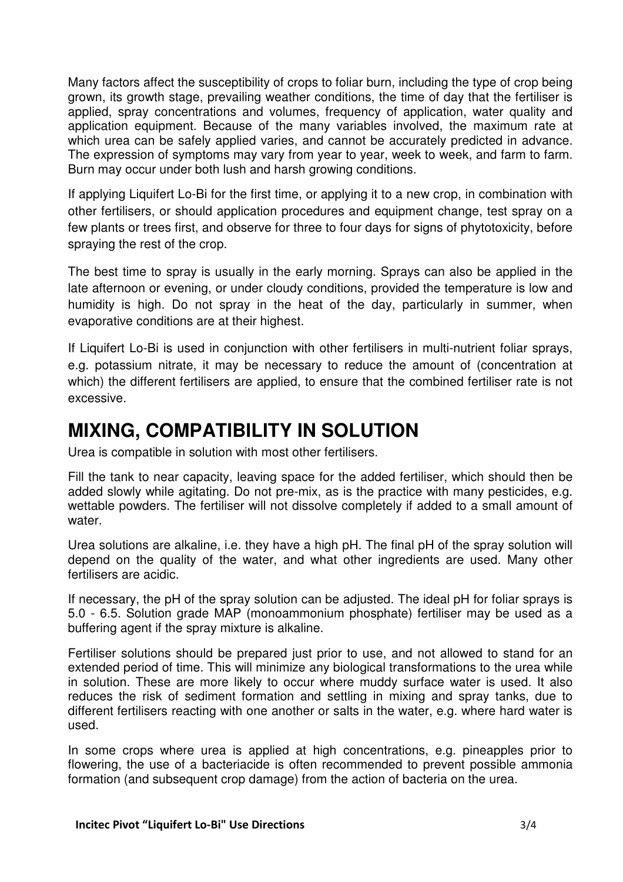Many factors affect the susceptibility of crops to foliar burn, including the type of crop being grown, its growth stage, prevailing weather conditions, the time of day that the fertiliser is applied, spray concentrations and volumes, frequency of application, water quality and application equipment. Because of the many variables involved, the maximum rate at which urea can be safely applied varies, and cannot be accurately predicted in advance. The expression of symptoms may vary from year to year, week to week, and farm to farm. Burn may occur under both lush and harsh growing conditions.

If applying Liquifert Lo-Bi for the first time, or applying it to a new crop, in combination with other fertilisers, or should application procedures and equipment change, test spray on a few plants or trees first, and observe for three to four days for signs of phytotoxicity, before spraying the rest of the crop.

The best time to spray is usually in the early morning. Sprays can also be applied in the late afternoon or evening, or under cloudy conditions, provided the temperature is low and humidity is high. Do not spray in the heat of the day, particularly in summer, when evaporative conditions are at their highest.

If Liquifert Lo-Bi is used in conjunction with other fertilisers in multi-nutrient foliar sprays, e.g. potassium nitrate, it may be necessary to reduce the amount of (concentration at which) the different fertilisers are applied, to ensure that the combined fertiliser rate is not excessive.

## **MIXING, COMPATIBILITY IN SOLUTION**

Urea is compatible in solution with most other fertilisers.

Fill the tank to near capacity, leaving space for the added fertiliser, which should then be added slowly while agitating. Do not pre-mix, as is the practice with many pesticides, e.g. wettable powders. The fertiliser will not dissolve completely if added to a small amount of water.

Urea solutions are alkaline, i.e. they have a high pH. The final pH of the spray solution will depend on the quality of the water, and what other ingredients are used. Many other fertilisers are acidic.

If necessary, the pH of the spray solution can be adjusted. The ideal pH for foliar sprays is 5.0 - 6.5. Solution grade MAP (monoammonium phosphate) fertiliser may be used as a buffering agent if the spray mixture is alkaline.

Fertiliser solutions should be prepared just prior to use, and not allowed to stand for an extended period of time. This will minimize any biological transformations to the urea while in solution. These are more likely to occur where muddy surface water is used. It also reduces the risk of sediment formation and settling in mixing and spray tanks, due to different fertilisers reacting with one another or salts in the water, e.g. where hard water is used.

In some crops where urea is applied at high concentrations, e.g. pineapples prior to flowering, the use of a bacteriacide is often recommended to prevent possible ammonia formation (and subsequent crop damage) from the action of bacteria on the urea.